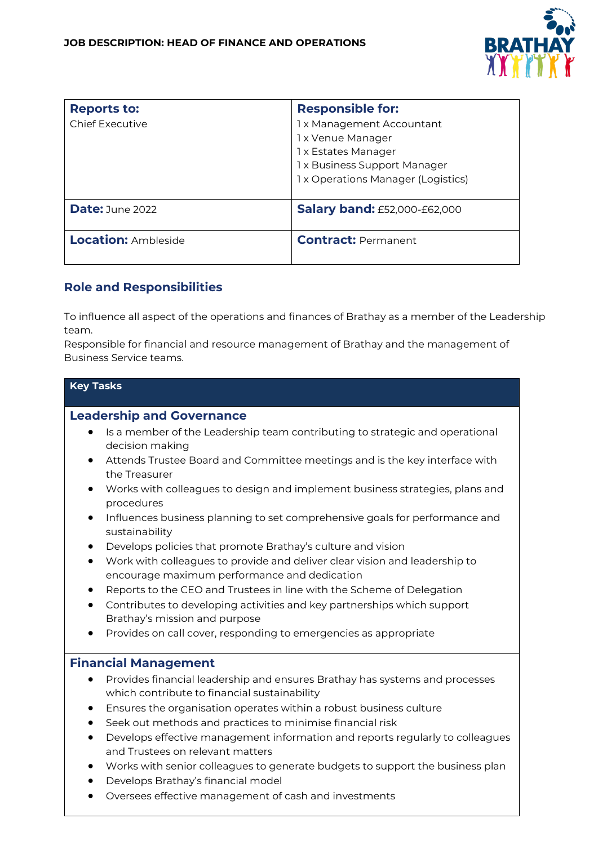

| <b>Reports to:</b>         | <b>Responsible for:</b>             |
|----------------------------|-------------------------------------|
| <b>Chief Executive</b>     | 1 x Management Accountant           |
|                            | 1x Venue Manager                    |
|                            | 1 x Estates Manager                 |
|                            | 1 x Business Support Manager        |
|                            | 1 x Operations Manager (Logistics)  |
|                            |                                     |
| <b>Date:</b> June 2022     | <b>Salary band: £52,000-£62,000</b> |
| <b>Location: Ambleside</b> | <b>Contract: Permanent</b>          |
|                            |                                     |

### **Role and Responsibilities**

To influence all aspect of the operations and finances of Brathay as a member of the Leadership team.

Responsible for financial and resource management of Brathay and the management of Business Service teams.

## **Key Tasks Leadership and Governance** • Is a member of the Leadership team contributing to strategic and operational decision making • Attends Trustee Board and Committee meetings and is the key interface with the Treasurer • Works with colleagues to design and implement business strategies, plans and procedures • Influences business planning to set comprehensive goals for performance and sustainability • Develops policies that promote Brathay's culture and vision • Work with colleagues to provide and deliver clear vision and leadership to encourage maximum performance and dedication • Reports to the CEO and Trustees in line with the Scheme of Delegation • Contributes to developing activities and key partnerships which support Brathay's mission and purpose • Provides on call cover, responding to emergencies as appropriate **Financial Management** • Provides financial leadership and ensures Brathay has systems and processes which contribute to financial sustainability • Ensures the organisation operates within a robust business culture • Seek out methods and practices to minimise financial risk • Develops effective management information and reports regularly to colleagues and Trustees on relevant matters • Works with senior colleagues to generate budgets to support the business plan • Develops Brathay's financial model • Oversees effective management of cash and investments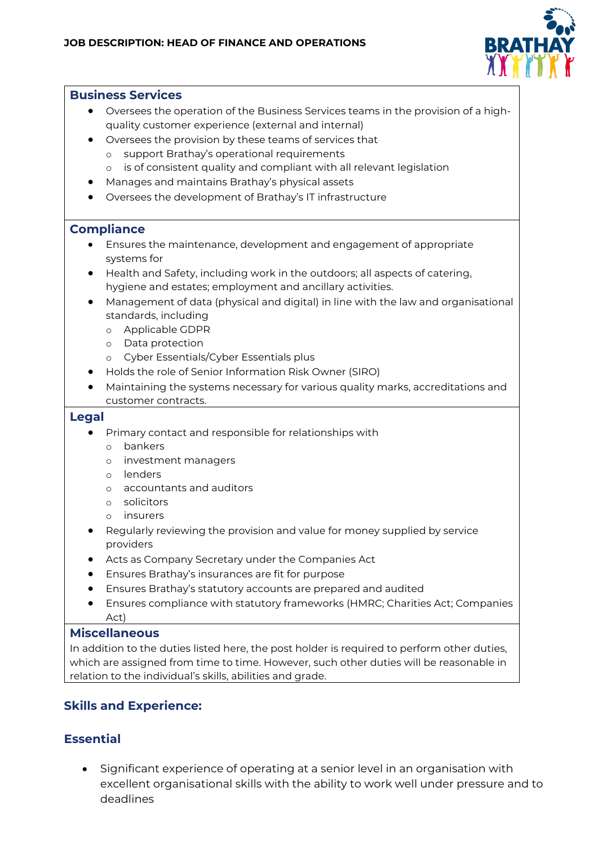

#### **Business Services**

- Oversees the operation of the Business Services teams in the provision of a highquality customer experience (external and internal)
- Oversees the provision by these teams of services that
	- o support Brathay's operational requirements
	- o is of consistent quality and compliant with all relevant legislation
- Manages and maintains Brathay's physical assets
- Oversees the development of Brathay's IT infrastructure

#### **Compliance**

- Ensures the maintenance, development and engagement of appropriate systems for
- Health and Safety, including work in the outdoors; all aspects of catering, hygiene and estates; employment and ancillary activities.
- Management of data (physical and digital) in line with the law and organisational standards, including
	- o Applicable GDPR
	- o Data protection
	- o Cyber Essentials/Cyber Essentials plus
- Holds the role of Senior Information Risk Owner (SIRO)
- Maintaining the systems necessary for various quality marks, accreditations and customer contracts.

#### **Legal**

- Primary contact and responsible for relationships with
	- o bankers
	- o investment managers
	- o lenders
	- o accountants and auditors
	- o solicitors
	- o insurers
- Regularly reviewing the provision and value for money supplied by service providers
- Acts as Company Secretary under the Companies Act
- Ensures Brathay's insurances are fit for purpose
- Ensures Brathay's statutory accounts are prepared and audited
- Ensures compliance with statutory frameworks (HMRC; Charities Act; Companies Act)

#### **Miscellaneous**

In addition to the duties listed here, the post holder is required to perform other duties, which are assigned from time to time. However, such other duties will be reasonable in relation to the individual's skills, abilities and grade.

#### **Skills and Experience:**

## **Essential**

• Significant experience of operating at a senior level in an organisation with excellent organisational skills with the ability to work well under pressure and to deadlines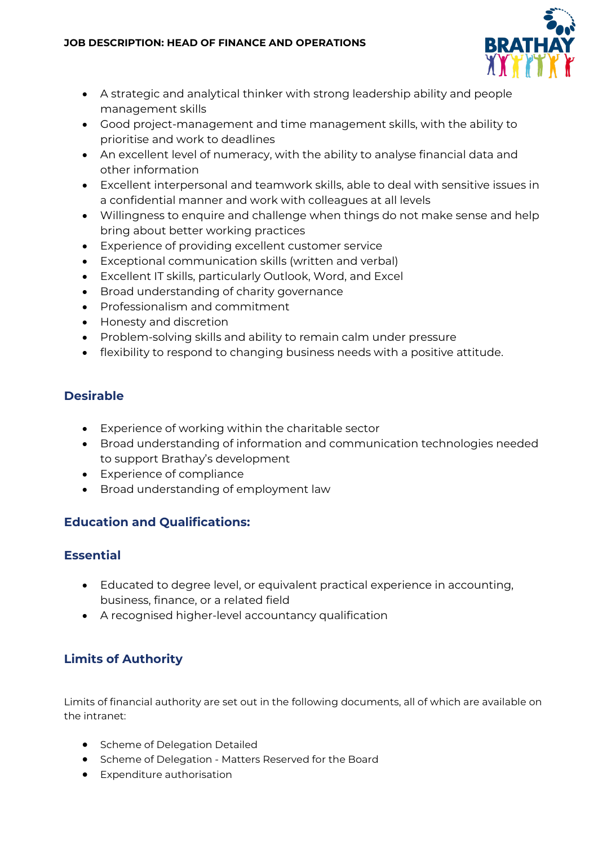

- A strategic and analytical thinker with strong leadership ability and people management skills
- Good project-management and time management skills, with the ability to prioritise and work to deadlines
- An excellent level of numeracy, with the ability to analyse financial data and other information
- Excellent interpersonal and teamwork skills, able to deal with sensitive issues in a confidential manner and work with colleagues at all levels
- Willingness to enquire and challenge when things do not make sense and help bring about better working practices
- Experience of providing excellent customer service
- Exceptional communication skills (written and verbal)
- Excellent IT skills, particularly Outlook, Word, and Excel
- Broad understanding of charity governance
- Professionalism and commitment
- Honesty and discretion
- Problem-solving skills and ability to remain calm under pressure
- flexibility to respond to changing business needs with a positive attitude.

# **Desirable**

- Experience of working within the charitable sector
- Broad understanding of information and communication technologies needed to support Brathay's development
- Experience of compliance
- Broad understanding of employment law

# **Education and Qualifications:**

## **Essential**

- Educated to degree level, or equivalent practical experience in accounting, business, finance, or a related field
- A recognised higher-level accountancy qualification

# **Limits of Authority**

Limits of financial authority are set out in the following documents, all of which are available on the intranet:

- Scheme of Delegation Detailed
- Scheme of Delegation Matters Reserved for the Board
- Expenditure authorisation